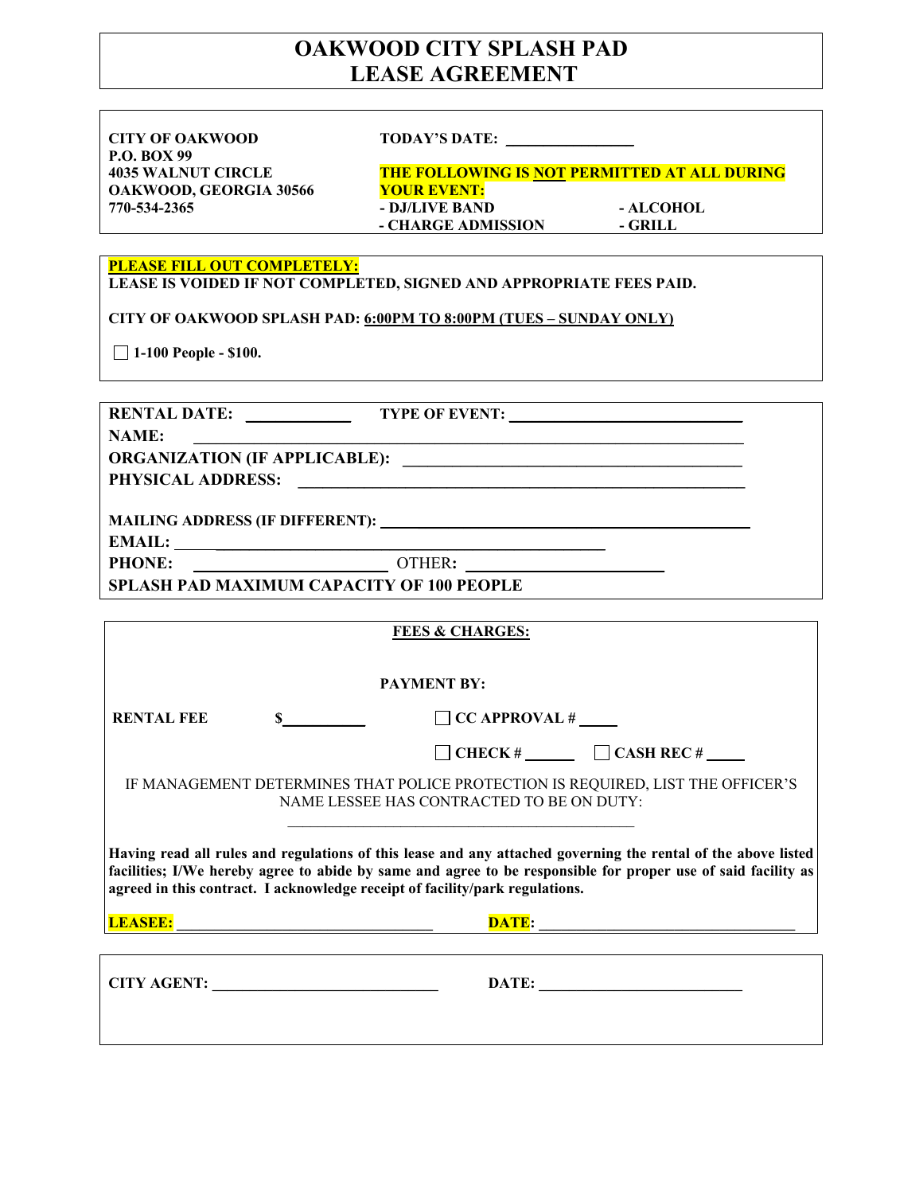# **OAKWOOD CITY SPLASH PAD LEASE AGREEMENT**

**CITY OF OAKWOOD TODAY'S DATE:** \_\_\_\_\_\_\_\_\_\_\_\_\_\_\_\_\_ **P.O. BOX 99 OAKWOOD, GEORGIA 30566** YOUR EVENT:

**4035 WALNUT CIRCLE THE FOLLOWING IS NOT PERMITTED AT ALL DURING 770-534-2365 - DJ/LIVE BAND - ALCOHOL**  - **CHARGE ADMISSION** - **GRILL** 

### **PLEASE FILL OUT COMPLETELY:**

**LEASE IS VOIDED IF NOT COMPLETED, SIGNED AND APPROPRIATE FEES PAID.** 

**CITY OF OAKWOOD SPLASH PAD: 6:00PM TO 8:00PM (TUES – SUNDAY ONLY)** 

 **1-100 People - \$100.** 

| NAME:                                                                              |                           |  |
|------------------------------------------------------------------------------------|---------------------------|--|
|                                                                                    |                           |  |
|                                                                                    |                           |  |
|                                                                                    |                           |  |
|                                                                                    |                           |  |
|                                                                                    |                           |  |
| <b>SPLASH PAD MAXIMUM CAPACITY OF 100 PEOPLE</b>                                   |                           |  |
|                                                                                    |                           |  |
| <b>FEES &amp; CHARGES:</b>                                                         |                           |  |
|                                                                                    |                           |  |
| <b>PAYMENT BY:</b>                                                                 |                           |  |
| <b>RENTAL FEE</b><br>$\mathbf{s}$                                                  | $\Box$ CC APPROVAL #      |  |
|                                                                                    | CHECK # $\Box$ CASH REC # |  |
| IE MANIACEMENT DETEDMINES THAT DOI ICE DDOTECTION IS DEOUIDED. I IST THE OEEICED'S |                           |  |

IF MANAGEMENT DETERMINES THAT POLICE PROTECTION IS REQUIRED, LIST THE OFFICER'S NAME LESSEE HAS CONTRACTED TO BE ON DUTY:

**Having read all rules and regulations of this lease and any attached governing the rental of the above listed facilities; I/We hereby agree to abide by same and agree to be responsible for proper use of said facility as agreed in this contract. I acknowledge receipt of facility/park regulations.** 

**LEASEE: \_\_\_\_\_\_\_\_\_\_\_\_\_\_\_\_\_\_\_\_\_\_\_\_\_\_\_\_\_\_\_\_\_\_ DATE: \_\_\_\_\_\_\_\_\_\_\_\_\_\_\_\_\_\_\_\_\_\_\_\_\_\_\_\_\_\_\_\_\_\_** 

**CITY AGENT: \_\_\_\_\_\_\_\_\_\_\_\_\_\_\_\_\_\_\_\_\_\_\_\_\_\_\_\_\_\_ DATE: \_\_\_\_\_\_\_\_\_\_\_\_\_\_\_\_\_\_\_\_\_\_\_\_\_\_\_**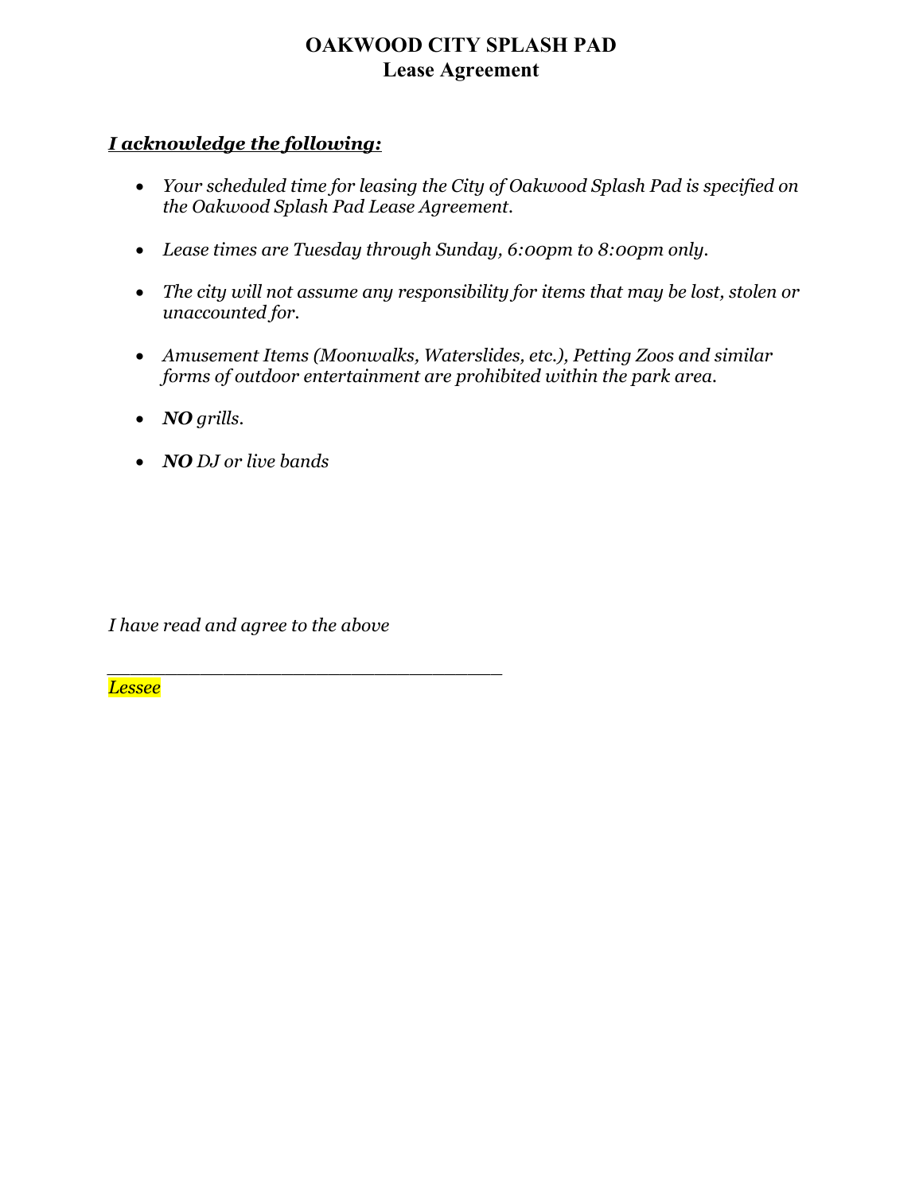# **OAKWOOD CITY SPLASH PAD Lease Agreement**

## *I acknowledge the following:*

- *Your scheduled time for leasing the City of Oakwood Splash Pad is specified on the Oakwood Splash Pad Lease Agreement.*
- *Lease times are Tuesday through Sunday, 6:00pm to 8:00pm only.*
- *The city will not assume any responsibility for items that may be lost, stolen or unaccounted for.*
- *Amusement Items (Moonwalks, Waterslides, etc.), Petting Zoos and similar forms of outdoor entertainment are prohibited within the park area.*
- *NO grills.*
- *NO DJ or live bands*

*I have read and agree to the above* 

*\_\_\_\_\_\_\_\_\_\_\_\_\_\_\_\_\_\_\_\_\_\_\_\_\_\_\_\_\_\_\_\_\_\_* 

*Lessee*